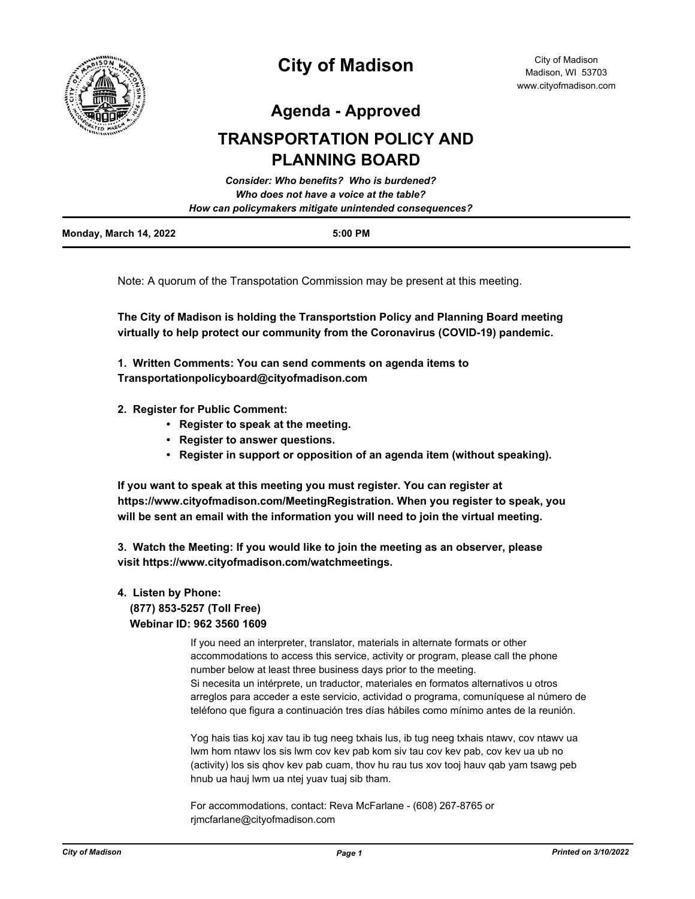

# **City of Madison**

**Agenda - Approved**

## **TRANSPORTATION POLICY AND PLANNING BOARD**

|                        | Consider: Who benefits? Who is burdened?               |  |
|------------------------|--------------------------------------------------------|--|
|                        | Who does not have a voice at the table?                |  |
|                        | How can policymakers mitigate unintended consequences? |  |
| Monday, March 14, 2022 | $5:00$ PM                                              |  |

Note: A quorum of the Transpotation Commission may be present at this meeting.

**The City of Madison is holding the Transportstion Policy and Planning Board meeting virtually to help protect our community from the Coronavirus (COVID-19) pandemic.**

**1. Written Comments: You can send comments on agenda items to Transportationpolicyboard@cityofmadison.com**

- **2. Register for Public Comment:** 
	- **Register to speak at the meeting.**
	- **Register to answer questions.**
	- **Register in support or opposition of an agenda item (without speaking).**

**If you want to speak at this meeting you must register. You can register at https://www.cityofmadison.com/MeetingRegistration. When you register to speak, you will be sent an email with the information you will need to join the virtual meeting.**

**3. Watch the Meeting: If you would like to join the meeting as an observer, please visit https://www.cityofmadison.com/watchmeetings.**

#### **4. Listen by Phone: (877) 853-5257 (Toll Free) Webinar ID: 962 3560 1609**

If you need an interpreter, translator, materials in alternate formats or other accommodations to access this service, activity or program, please call the phone number below at least three business days prior to the meeting. Si necesita un intérprete, un traductor, materiales en formatos alternativos u otros arreglos para acceder a este servicio, actividad o programa, comuníquese al número de teléfono que figura a continuación tres días hábiles como mínimo antes de la reunión.

Yog hais tias koj xav tau ib tug neeg txhais lus, ib tug neeg txhais ntawv, cov ntawv ua lwm hom ntawv los sis lwm cov kev pab kom siv tau cov kev pab, cov kev ua ub no (activity) los sis qhov kev pab cuam, thov hu rau tus xov tooj hauv qab yam tsawg peb hnub ua hauj lwm ua ntej yuav tuaj sib tham.

For accommodations, contact: Reva McFarlane - (608) 267-8765 or rjmcfarlane@cityofmadison.com